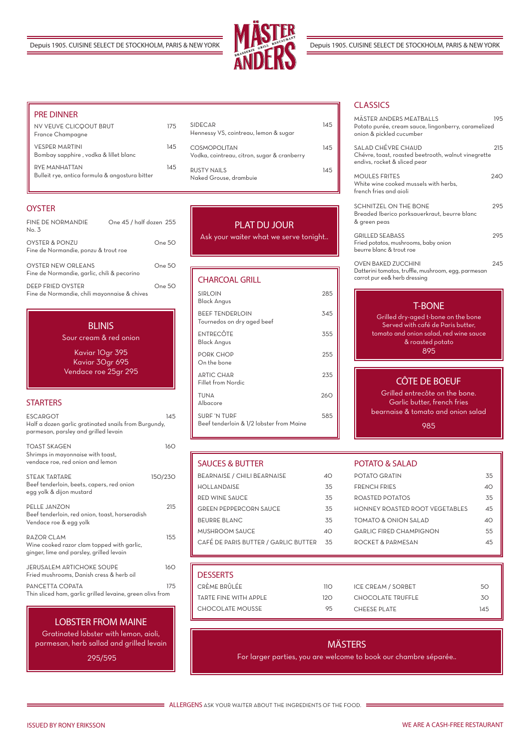JERUSALEM ARTICHOKE SOUPE 160 Fried mushrooms, Danish cress & herb oil

| <b>ESCARGOT</b>                                                                                      | 145     |
|------------------------------------------------------------------------------------------------------|---------|
| Half a dozen garlic gratinated snails from Burgundy,<br>parmesan, parsley and grilled levain         |         |
| TOAST SKAGEN<br>Shrimps in mayonnaise with toast,<br>vendace roe, red onion and lemon                | 160     |
| STEAK TARTARE<br>Beef tenderloin, beets, capers, red onion<br>egg yolk & dijon mustard               | 150/230 |
| PELLE JANZON<br>Beef tenderloin, red onion, toast, horseradish<br>Vendace roe & egg yolk             | 215     |
| RAZOR CLAM<br>Wine cooked razor clam topped with garlic,<br>ginger, lime and parsley, grilled levain | 155     |

PANCETTA COPATA 175 Thin sliced ham, garlic grilled levaine, green olivs from

| FINE DE NORMANDIE<br>No. 3                                        | One 45 / half dozen 255 |
|-------------------------------------------------------------------|-------------------------|
| OYSTER & PONZU<br>Fine de Normandie, ponzu & trout roe            | One 50                  |
| OYSTER NEW ORLEANS<br>Fine de Normandie, garlic, chili & pecorino | One 50                  |
| DEEP ERIED OVSTER<br>Fine de Normandie, chili mayonnaise & chives | One 50                  |

#### **BLINIS**

| <b>CHARCOAL GRILL</b>                                           |     |
|-----------------------------------------------------------------|-----|
| <b>SIRLOIN</b><br>Black Angus                                   | 285 |
| <b>BEEF TENDERLOIN</b><br>Tournedos on dry aged beef            | 345 |
| ENTRECÔTE<br>Black Angus                                        | 355 |
| <b>PORK CHOP</b><br>On the bone                                 | 255 |
| <b>ARTIC CHAR</b><br>Fillet from Nordic                         | 235 |
| <b>TUNA</b><br>Albacore                                         | 260 |
| <b>SURF 'N TURF</b><br>Beef tenderloin & 1/2 lobster from Maine | 585 |

| MÄSTER ANDERS MEATBALLS<br>Potato purée, cream sauce, lingonberry, caramelized<br>onion & pickled cucumber        | 195 |
|-------------------------------------------------------------------------------------------------------------------|-----|
| SALAD CHÉVRE CHAUD<br>Chévre, toast, roasted beetrooth, walnut vinegrette<br>endivs, rocket & sliced pear         | 215 |
| <b>MOULES FRITES</b><br>White wine cooked mussels with herbs,<br>french fries and aioli                           | 240 |
| SCHNITZEL ON THE BONE<br>Breaded Iberico porksauerkraut, beurre blanc<br>& green peas                             | 295 |
| <b>GRILLED SEABASS</b><br>Fried potatos, mushrooms, baby onion<br>beurre blanc & trout roe                        | 295 |
| <b>OVEN BAKED ZUCCHINI</b><br>Datterini tomatos, truffle, mushroom, egg, parmesan<br>carrot pur ee& herb dressing | 245 |
|                                                                                                                   |     |

## PLAT DU JOUR

Ask your waiter what we serve tonight..

ISSUED BY RONY ERIKSSON WE ARE A CASH-FREE RESTAURANT

#### T-BONE

Grilled dry-aged t-bone on the bone Served with café de Paris butter, tomato and onion salad, red wine sauce & roasted potato 895

#### LOBSTER FROM MAINE

Gratinated lobster with lemon, aioli, parmesan, herb sallad and grilled levain

295/595

### **DESSERTS**

CRÈME BRÛLÉE **110** TARTE FINE WITH APPLE 120 CHOCOLATE MOUSSE 95 ICE CREAM / SORBET 50 CHOCOLATE TRUFFLE 30 CHEESE PLATE 145

## CÔTE DE BOEUF

Grilled entrecôte on the bone. Garlic butter, french fries bearnaise & tomato and onion salad

985

Sour cream & red onion

Kaviar 10gr 395 Kaviar 30gr 695 Vendace roe 25gr 295

#### **STARTERS**

### SAUCES & BUTTER

| BEARNAISE / CHILI BEARNAISE          | 40  |
|--------------------------------------|-----|
| HOLLANDAISE                          | 35  |
| RED WINE SAUCE                       | .35 |
| <b>GREEN PEPPERCORN SAUCE</b>        | 35  |
| <b>BEURRE BLANC</b>                  | 35  |
| MUSHROOM SAUCE                       | ⊿∩  |
| CAFÉ DE PARIS BUTTER / GARLIC BUTTER | 35  |
|                                      |     |

#### **CLASSICS**

#### POTATO & SALAD

| POTATO GRATIN                  | 35 |
|--------------------------------|----|
| <b><i>ERENCH ERIES</i></b>     | ⊿∩ |
| ROASTED POTATOS                | 35 |
| HONNEY ROASTED ROOT VEGETABLES | 45 |
| TOMATO & ONION SAI AD          | 40 |
| GARLIC FIRED CHAMPIGNON        | 55 |
| ROCKET & PARMESAN              | 45 |
|                                |    |



#### PRE DINNER

| NV VEUVE CLICQOUT BRUT<br>France Champagne                      | 175 |
|-----------------------------------------------------------------|-----|
| <b>VESPER MARTINI</b><br>Bombay sapphire, vodka & lillet blanc  | 145 |
| RYF MANHATTAN<br>Bulleit rye, antica formula & angostura bitter | 145 |

#### **OYSTER**

| <b>SIDECAR</b><br>Hennessy VS, cointreau, lemon & sugar      | 145 |
|--------------------------------------------------------------|-----|
| COSMOPOI ITAN<br>Vodka, cointreau, citron, sugar & cranberry | 145 |
| RUSTY NAILS<br>Naked Grouse, drambuie                        | 145 |

## MÄSTERS

For larger parties, you are welcome to book our chambre séparée..

**ALLERGENS** ASK YOUR WAITER ABOUT THE INGREDIENTS OF THE FOOD. :